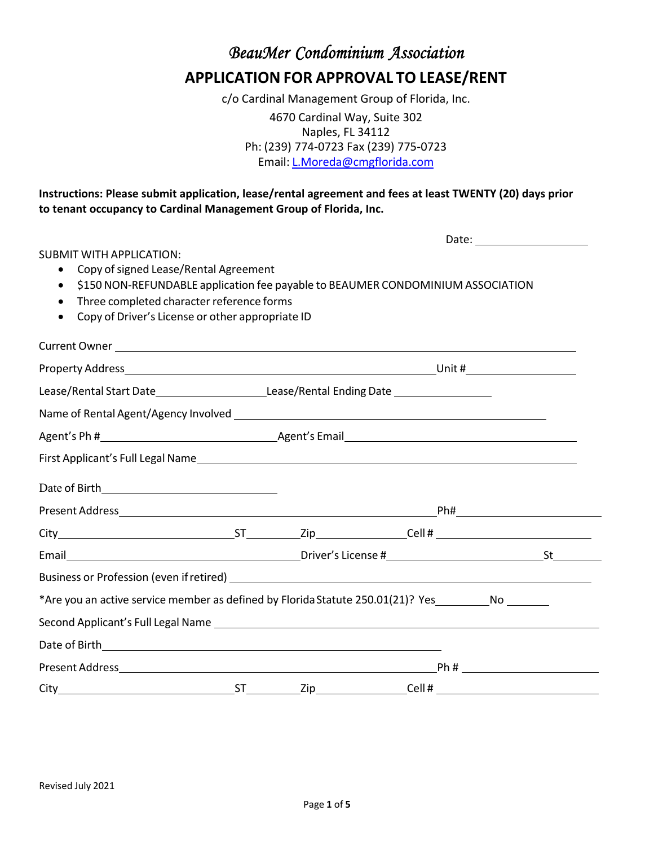*BeauMer Condominium Association*  **APPLICATION FOR APPROVAL TO LEASE/RENT**

c/o Cardinal Management Group of Florida, Inc.

4670 Cardinal Way, Suite 302 Naples, FL 34112 Ph: (239) 774‐0723 Fax (239) 775‐0723 Email: L.Moreda@cmgflorida.com

**Instructions: Please submit application, lease/rental agreement and fees at least TWENTY (20) days prior to tenant occupancy to Cardinal Management Group of Florida, Inc.**

|                                                                                                                                                                                                                  |  |                                                                                 | Date: _______________________                                                                                                                                                                                                 |
|------------------------------------------------------------------------------------------------------------------------------------------------------------------------------------------------------------------|--|---------------------------------------------------------------------------------|-------------------------------------------------------------------------------------------------------------------------------------------------------------------------------------------------------------------------------|
| <b>SUBMIT WITH APPLICATION:</b><br>Copy of signed Lease/Rental Agreement<br>$\bullet$<br>Three completed character reference forms<br>$\bullet$<br>Copy of Driver's License or other appropriate ID<br>$\bullet$ |  | \$150 NON-REFUNDABLE application fee payable to BEAUMER CONDOMINIUM ASSOCIATION |                                                                                                                                                                                                                               |
|                                                                                                                                                                                                                  |  |                                                                                 |                                                                                                                                                                                                                               |
|                                                                                                                                                                                                                  |  |                                                                                 |                                                                                                                                                                                                                               |
|                                                                                                                                                                                                                  |  |                                                                                 |                                                                                                                                                                                                                               |
|                                                                                                                                                                                                                  |  |                                                                                 |                                                                                                                                                                                                                               |
|                                                                                                                                                                                                                  |  |                                                                                 |                                                                                                                                                                                                                               |
|                                                                                                                                                                                                                  |  |                                                                                 |                                                                                                                                                                                                                               |
|                                                                                                                                                                                                                  |  |                                                                                 |                                                                                                                                                                                                                               |
|                                                                                                                                                                                                                  |  |                                                                                 |                                                                                                                                                                                                                               |
|                                                                                                                                                                                                                  |  |                                                                                 |                                                                                                                                                                                                                               |
|                                                                                                                                                                                                                  |  |                                                                                 |                                                                                                                                                                                                                               |
|                                                                                                                                                                                                                  |  |                                                                                 |                                                                                                                                                                                                                               |
| *Are you an active service member as defined by Florida Statute 250.01(21)? Yes_____________________                                                                                                             |  |                                                                                 |                                                                                                                                                                                                                               |
| Second Applicant's Full Legal Name entry and the second Applicant's Full Legal Name                                                                                                                              |  |                                                                                 |                                                                                                                                                                                                                               |
|                                                                                                                                                                                                                  |  |                                                                                 |                                                                                                                                                                                                                               |
|                                                                                                                                                                                                                  |  |                                                                                 | $Ph#$ and $H$ and $H$ and $H$ and $H$ and $H$ and $H$ and $H$ and $H$ and $H$ and $H$ and $H$ and $H$ and $H$ and $H$ and $H$ and $H$ and $H$ and $H$ and $H$ and $H$ and $H$ and $H$ and $H$ and $H$ and $H$ and $H$ and $H$ |
|                                                                                                                                                                                                                  |  |                                                                                 |                                                                                                                                                                                                                               |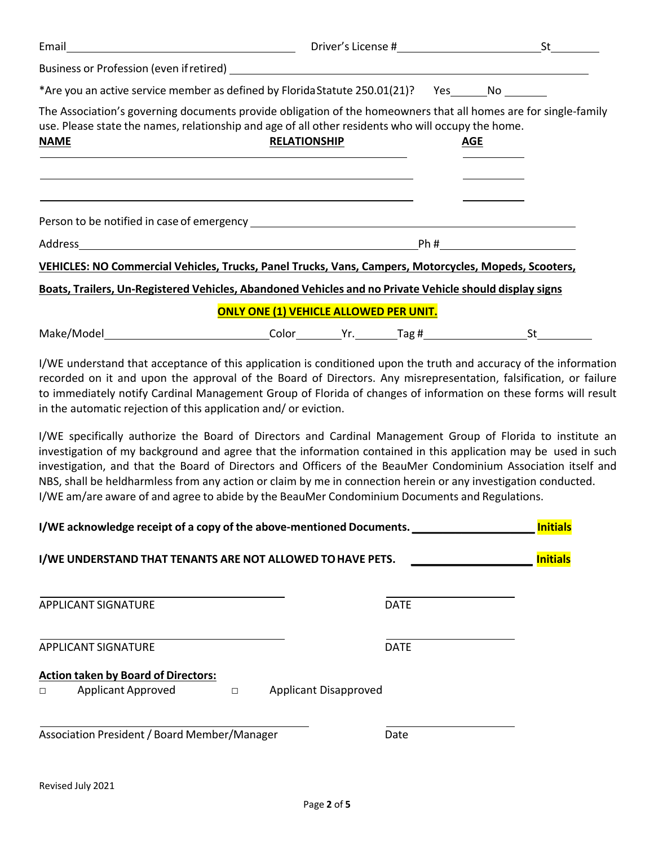| *Are you an active service member as defined by Florida Statute 250.01(21)? Yes______No                                                                                                                                                                                                                                                                                                                                      |                                                                                                                                                                                                                                                                                                                                                        |            |  |
|------------------------------------------------------------------------------------------------------------------------------------------------------------------------------------------------------------------------------------------------------------------------------------------------------------------------------------------------------------------------------------------------------------------------------|--------------------------------------------------------------------------------------------------------------------------------------------------------------------------------------------------------------------------------------------------------------------------------------------------------------------------------------------------------|------------|--|
| The Association's governing documents provide obligation of the homeowners that all homes are for single-family<br>use. Please state the names, relationship and age of all other residents who will occupy the home.<br><b>NAME</b>                                                                                                                                                                                         | <b>RELATIONSHIP</b><br>and the control of the control of the control of the control of the control of the control of the control of the                                                                                                                                                                                                                | <u>AGE</u> |  |
|                                                                                                                                                                                                                                                                                                                                                                                                                              | the control of the control of the control of the control of the control of the control of the control of the control of the control of the control of the control of the control of the control of the control of the control<br><u> 1989 - Johann Harry Harry Harry Harry Harry Harry Harry Harry Harry Harry Harry Harry Harry Harry Harry Harry</u> |            |  |
| VEHICLES: NO Commercial Vehicles, Trucks, Panel Trucks, Vans, Campers, Motorcycles, Mopeds, Scooters,                                                                                                                                                                                                                                                                                                                        |                                                                                                                                                                                                                                                                                                                                                        |            |  |
| Boats, Trailers, Un-Registered Vehicles, Abandoned Vehicles and no Private Vehicle should display signs                                                                                                                                                                                                                                                                                                                      |                                                                                                                                                                                                                                                                                                                                                        |            |  |
|                                                                                                                                                                                                                                                                                                                                                                                                                              | <b>ONLY ONE (1) VEHICLE ALLOWED PER UNIT.</b>                                                                                                                                                                                                                                                                                                          |            |  |
|                                                                                                                                                                                                                                                                                                                                                                                                                              |                                                                                                                                                                                                                                                                                                                                                        |            |  |
| I/WE understand that acceptance of this application is conditioned upon the truth and accuracy of the information<br>recorded on it and upon the approval of the Board of Directors. Any misrepresentation, falsification, or failure<br>to immediately notify Cardinal Management Group of Florida of changes of information on these forms will result<br>in the automatic rejection of this application and/ or eviction. |                                                                                                                                                                                                                                                                                                                                                        |            |  |

I/WE specifically authorize the Board of Directors and Cardinal Management Group of Florida to institute an investigation of my background and agree that the information contained in this application may be used in such investigation, and that the Board of Directors and Officers of the BeauMer Condominium Association itself and NBS, shall be heldharmless from any action or claim by me in connection herein or any investigation conducted. I/WE am/are aware of and agree to abide by the BeauMer Condominium Documents and Regulations.

|   | I/WE acknowledge receipt of a copy of the above-mentioned Documents. |        |                              |             |                 |
|---|----------------------------------------------------------------------|--------|------------------------------|-------------|-----------------|
|   | I/WE UNDERSTAND THAT TENANTS ARE NOT ALLOWED TO HAVE PETS.           |        |                              |             | <b>Initials</b> |
|   | APPLICANT SIGNATURE                                                  |        |                              | <b>DATE</b> |                 |
|   | <b>APPLICANT SIGNATURE</b>                                           |        |                              | <b>DATE</b> |                 |
|   | <b>Action taken by Board of Directors:</b>                           |        |                              |             |                 |
| П | <b>Applicant Approved</b>                                            | $\Box$ | <b>Applicant Disapproved</b> |             |                 |
|   | Association President / Board Member/Manager                         |        |                              | Date        |                 |
|   |                                                                      |        |                              |             |                 |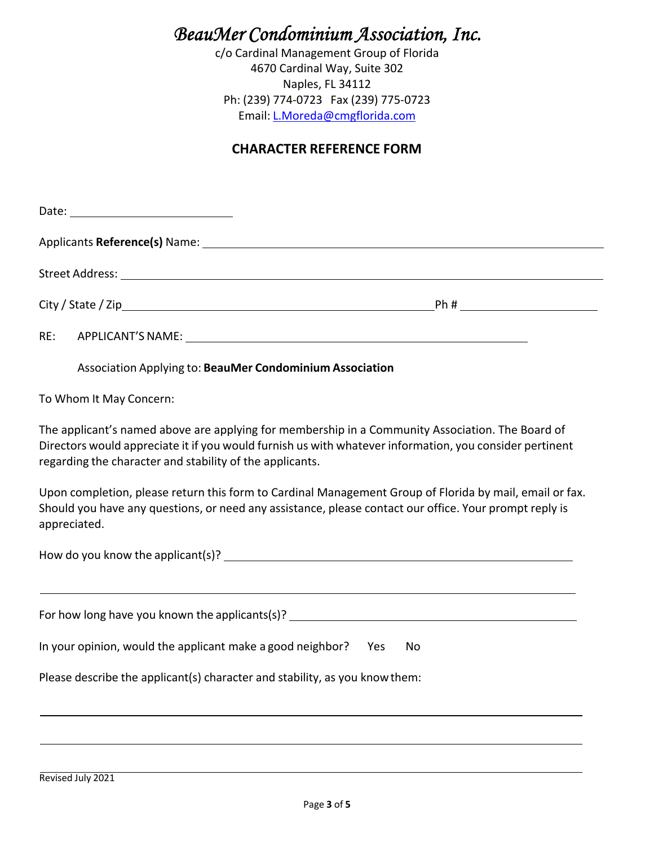# *BeauMer Condominium Association, Inc.*

c/o Cardinal Management Group of Florida 4670 Cardinal Way, Suite 302 Naples, FL 34112 Ph: (239) 774‐0723 Fax (239) 775‐0723 Email: L.Moreda@cmgflorida.com

### **CHARACTER REFERENCE FORM**

| RE: |                                                                                                                                                                                                                                                                         |  |
|-----|-------------------------------------------------------------------------------------------------------------------------------------------------------------------------------------------------------------------------------------------------------------------------|--|
|     | Association Applying to: BeauMer Condominium Association                                                                                                                                                                                                                |  |
|     | To Whom It May Concern:                                                                                                                                                                                                                                                 |  |
|     | The applicant's named above are applying for membership in a Community Association. The Board of<br>Directors would appreciate it if you would furnish us with whatever information, you consider pertinent<br>regarding the character and stability of the applicants. |  |
|     | Upon completion, please return this form to Cardinal Management Group of Florida by mail, email or fax.<br>Should you have any questions, or need any assistance, please contact our office. Your prompt reply is<br>appreciated.                                       |  |
|     |                                                                                                                                                                                                                                                                         |  |
|     |                                                                                                                                                                                                                                                                         |  |
|     | In your opinion, would the applicant make a good neighbor? Yes<br>No                                                                                                                                                                                                    |  |
|     | Please describe the applicant(s) character and stability, as you know them:                                                                                                                                                                                             |  |
|     |                                                                                                                                                                                                                                                                         |  |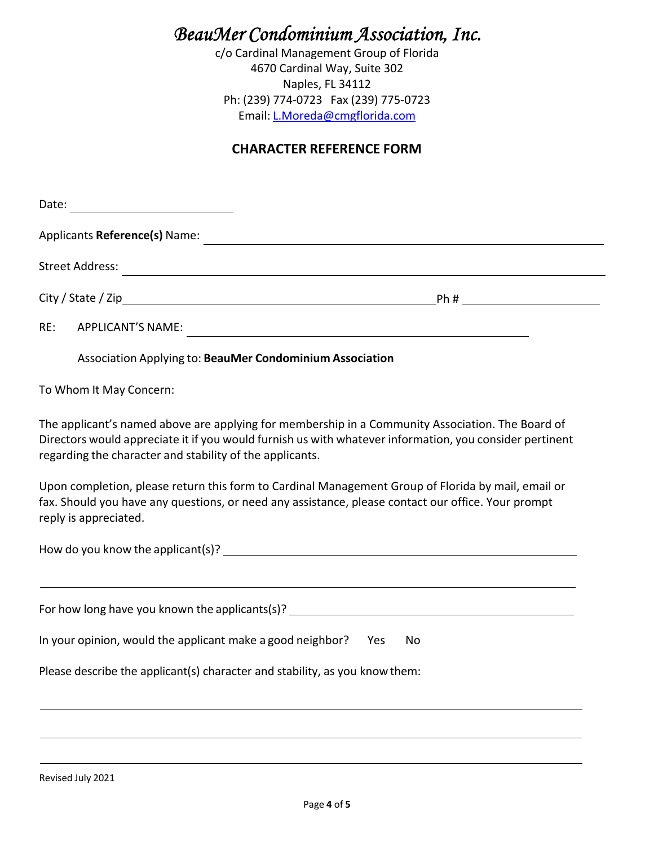# *BeauMer Condominium Association, Inc.*

c/o Cardinal Management Group of Florida 4670 Cardinal Way, Suite 302 Naples, FL 34112 Ph: (239) 774‐0723 Fax (239) 775‐0723 Email: L.Moreda@cmgflorida.com

### **CHARACTER REFERENCE FORM**

| Date:<br><u> 1989 - Johann Barbara, martxa a</u>                                                                                                                                                                                                                        |    |
|-------------------------------------------------------------------------------------------------------------------------------------------------------------------------------------------------------------------------------------------------------------------------|----|
| Applicants Reference(s) Name:                                                                                                                                                                                                                                           |    |
|                                                                                                                                                                                                                                                                         |    |
|                                                                                                                                                                                                                                                                         |    |
| RE:                                                                                                                                                                                                                                                                     |    |
| Association Applying to: BeauMer Condominium Association                                                                                                                                                                                                                |    |
| To Whom It May Concern:                                                                                                                                                                                                                                                 |    |
| The applicant's named above are applying for membership in a Community Association. The Board of<br>Directors would appreciate it if you would furnish us with whatever information, you consider pertinent<br>regarding the character and stability of the applicants. |    |
| Upon completion, please return this form to Cardinal Management Group of Florida by mail, email or<br>fax. Should you have any questions, or need any assistance, please contact our office. Your prompt<br>reply is appreciated.                                       |    |
|                                                                                                                                                                                                                                                                         |    |
|                                                                                                                                                                                                                                                                         |    |
| For how long have you known the applicants(s)? _________________________________                                                                                                                                                                                        |    |
| In your opinion, would the applicant make a good neighbor? Yes                                                                                                                                                                                                          | No |
| Please describe the applicant(s) character and stability, as you know them:                                                                                                                                                                                             |    |
|                                                                                                                                                                                                                                                                         |    |
|                                                                                                                                                                                                                                                                         |    |

Revised July 2021